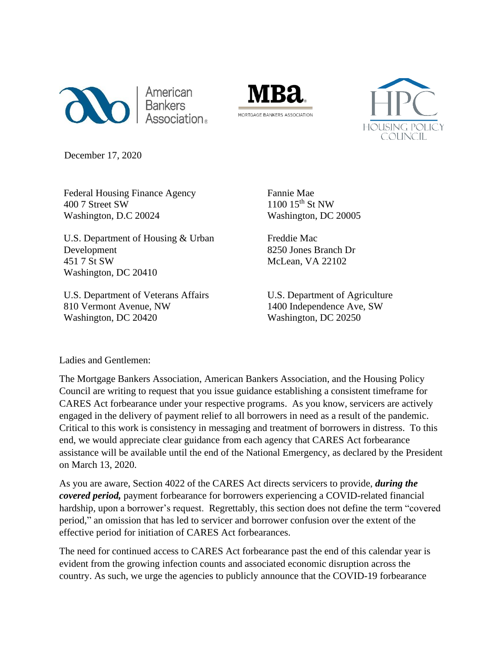





December 17, 2020

Federal Housing Finance Agency 400 7 Street SW Washington, D.C 20024

U.S. Department of Housing & Urban Development 451 7 St SW Washington, DC 20410

U.S. Department of Veterans Affairs 810 Vermont Avenue, NW Washington, DC 20420

Fannie Mae 1100 15<sup>th</sup> St NW Washington, DC 20005

Freddie Mac 8250 Jones Branch Dr McLean, VA 22102

U.S. Department of Agriculture 1400 Independence Ave, SW Washington, DC 20250

Ladies and Gentlemen:

The Mortgage Bankers Association, American Bankers Association, and the Housing Policy Council are writing to request that you issue guidance establishing a consistent timeframe for CARES Act forbearance under your respective programs. As you know, servicers are actively engaged in the delivery of payment relief to all borrowers in need as a result of the pandemic. Critical to this work is consistency in messaging and treatment of borrowers in distress. To this end, we would appreciate clear guidance from each agency that CARES Act forbearance assistance will be available until the end of the National Emergency, as declared by the President on March 13, 2020.

As you are aware, Section 4022 of the CARES Act directs servicers to provide, *during the covered period,* payment forbearance for borrowers experiencing a COVID-related financial hardship, upon a borrower's request. Regrettably, this section does not define the term "covered period," an omission that has led to servicer and borrower confusion over the extent of the effective period for initiation of CARES Act forbearances.

The need for continued access to CARES Act forbearance past the end of this calendar year is evident from the growing infection counts and associated economic disruption across the country. As such, we urge the agencies to publicly announce that the COVID-19 forbearance